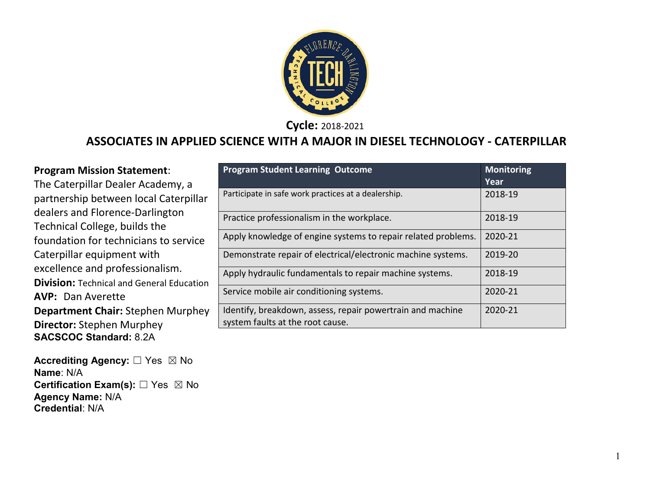

**Cycle:** 2018-2021

### **ASSOCIATES IN APPLIED SCIENCE WITH A MAJOR IN DIESEL TECHNOLOGY - CATERPILLAR**

| <b>Program Mission Statement:</b><br>The Caterpillar Dealer Academy, a              | <b>Program Student Learning Outcome</b>                       | <b>Monitoring</b><br>Year |
|-------------------------------------------------------------------------------------|---------------------------------------------------------------|---------------------------|
| partnership between local Caterpillar                                               | Participate in safe work practices at a dealership.           | 2018-19                   |
| dealers and Florence-Darlington<br>Technical College, builds the                    | Practice professionalism in the workplace.                    | 2018-19                   |
| foundation for technicians to service                                               | Apply knowledge of engine systems to repair related problems. | 2020-21                   |
| Caterpillar equipment with                                                          | Demonstrate repair of electrical/electronic machine systems.  | 2019-20                   |
| excellence and professionalism.<br><b>Division: Technical and General Education</b> | Apply hydraulic fundamentals to repair machine systems.       | 2018-19                   |
| <b>AVP: Dan Averette</b>                                                            | Service mobile air conditioning systems.                      | 2020-21                   |
| <b>Department Chair: Stephen Murphey</b>                                            | Identify, breakdown, assess, repair powertrain and machine    | 2020-21                   |
| <b>Director: Stephen Murphey</b>                                                    | system faults at the root cause.                              |                           |

The Caterpillar Dealer A partnership between loc dealers and Florence-Da Technical College, builds foundation for technicia Caterpillar equipment w excellence and professic **Division:** Technical and General **AVP:** Dan Averette **Department Chair: Step Director:** Stephen Murp **SACSCOC Standard:** 8.2A

**Accrediting Agency:** ☐ Yes ☒ No **Name**: N/A **Certification Exam(s):** ☐ Yes ☒ No **Agency Name:** N/A **Credential**: N/A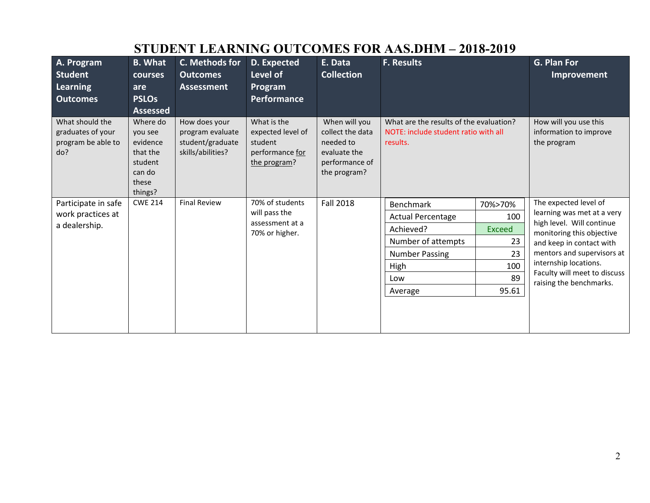|                                                                   |                                                                                      | DI ODDI I DDINNINING OO I COMDD I ON IN NODHUL                             |                                                                                |                                                                                                  |                                                                                             |               |                                                                |
|-------------------------------------------------------------------|--------------------------------------------------------------------------------------|----------------------------------------------------------------------------|--------------------------------------------------------------------------------|--------------------------------------------------------------------------------------------------|---------------------------------------------------------------------------------------------|---------------|----------------------------------------------------------------|
| A. Program                                                        | <b>B.</b> What                                                                       | C. Methods for                                                             | D. Expected                                                                    | E. Data                                                                                          | <b>F. Results</b>                                                                           |               | G. Plan For                                                    |
| <b>Student</b>                                                    | courses                                                                              | <b>Outcomes</b>                                                            | Level of                                                                       | <b>Collection</b>                                                                                |                                                                                             |               | Improvement                                                    |
| Learning                                                          | are                                                                                  | <b>Assessment</b>                                                          | Program                                                                        |                                                                                                  |                                                                                             |               |                                                                |
| <b>Outcomes</b>                                                   | <b>PSLOs</b>                                                                         |                                                                            | Performance                                                                    |                                                                                                  |                                                                                             |               |                                                                |
|                                                                   | <b>Assessed</b>                                                                      |                                                                            |                                                                                |                                                                                                  |                                                                                             |               |                                                                |
| What should the<br>graduates of your<br>program be able to<br>do? | Where do<br>vou see<br>evidence<br>that the<br>student<br>can do<br>these<br>things? | How does your<br>program evaluate<br>student/graduate<br>skills/abilities? | What is the<br>expected level of<br>student<br>performance for<br>the program? | When will you<br>collect the data<br>needed to<br>evaluate the<br>performance of<br>the program? | What are the results of the evaluation?<br>NOTE: include student ratio with all<br>results. |               | How will you use this<br>information to improve<br>the program |
| Participate in safe                                               | <b>CWE 214</b>                                                                       | <b>Final Review</b>                                                        | 70% of students                                                                | <b>Fall 2018</b>                                                                                 | <b>Benchmark</b>                                                                            | 70%>70%       | The expected level of                                          |
| work practices at                                                 |                                                                                      |                                                                            | will pass the                                                                  |                                                                                                  | <b>Actual Percentage</b>                                                                    | 100           | learning was met at a very                                     |
| a dealership.                                                     |                                                                                      |                                                                            | assessment at a<br>70% or higher.                                              |                                                                                                  | Achieved?                                                                                   | <b>Exceed</b> | high level. Will continue<br>monitoring this objective         |
|                                                                   |                                                                                      |                                                                            |                                                                                |                                                                                                  | Number of attempts                                                                          | 23            | and keep in contact with                                       |
|                                                                   |                                                                                      |                                                                            |                                                                                |                                                                                                  | <b>Number Passing</b>                                                                       | 23            | mentors and supervisors at                                     |
|                                                                   |                                                                                      |                                                                            |                                                                                |                                                                                                  | High                                                                                        | 100           | internship locations.<br>Faculty will meet to discuss          |
|                                                                   |                                                                                      |                                                                            |                                                                                |                                                                                                  | Low                                                                                         | 89            | raising the benchmarks.                                        |
|                                                                   |                                                                                      |                                                                            |                                                                                |                                                                                                  | Average                                                                                     | 95.61         |                                                                |
|                                                                   |                                                                                      |                                                                            |                                                                                |                                                                                                  |                                                                                             |               |                                                                |

# **STUDENT LEARNING OUTCOMES FOR AAS.DHM – 2018-2019**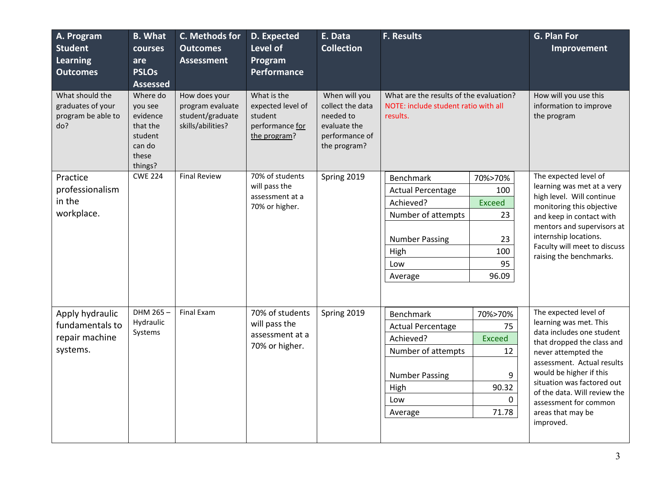| A. Program<br><b>Student</b><br><b>Learning</b><br><b>Outcomes</b> | <b>B.</b> What<br>courses<br>are<br><b>PSLOs</b><br><b>Assessed</b>                  | C. Methods for<br><b>Outcomes</b><br><b>Assessment</b>                     | D. Expected<br>Level of<br>Program<br><b>Performance</b>                       | E. Data<br><b>Collection</b>                                                                     | <b>F. Results</b>                                                                           |                                                         | G. Plan For<br>Improvement                                                          |
|--------------------------------------------------------------------|--------------------------------------------------------------------------------------|----------------------------------------------------------------------------|--------------------------------------------------------------------------------|--------------------------------------------------------------------------------------------------|---------------------------------------------------------------------------------------------|---------------------------------------------------------|-------------------------------------------------------------------------------------|
| What should the<br>graduates of your<br>program be able to<br>do?  | Where do<br>you see<br>evidence<br>that the<br>student<br>can do<br>these<br>things? | How does your<br>program evaluate<br>student/graduate<br>skills/abilities? | What is the<br>expected level of<br>student<br>performance for<br>the program? | When will you<br>collect the data<br>needed to<br>evaluate the<br>performance of<br>the program? | What are the results of the evaluation?<br>NOTE: include student ratio with all<br>results. |                                                         | How will you use this<br>information to improve<br>the program                      |
| Practice                                                           | <b>CWE 224</b>                                                                       | <b>Final Review</b>                                                        | 70% of students                                                                | Spring 2019                                                                                      | <b>Benchmark</b>                                                                            | 70%>70%                                                 | The expected level of                                                               |
| professionalism                                                    |                                                                                      | will pass the<br>assessment at a<br>70% or higher.                         |                                                                                | <b>Actual Percentage</b>                                                                         | 100                                                                                         | learning was met at a very<br>high level. Will continue |                                                                                     |
| in the                                                             |                                                                                      |                                                                            |                                                                                | Achieved?                                                                                        | <b>Exceed</b>                                                                               | monitoring this objective                               |                                                                                     |
| workplace.                                                         |                                                                                      |                                                                            |                                                                                |                                                                                                  | Number of attempts                                                                          | 23                                                      | and keep in contact with                                                            |
|                                                                    |                                                                                      |                                                                            |                                                                                |                                                                                                  |                                                                                             |                                                         | mentors and supervisors at                                                          |
|                                                                    |                                                                                      |                                                                            |                                                                                |                                                                                                  | <b>Number Passing</b>                                                                       | 23                                                      | internship locations.<br>Faculty will meet to discuss                               |
|                                                                    |                                                                                      |                                                                            |                                                                                |                                                                                                  | High                                                                                        | 100                                                     | raising the benchmarks.                                                             |
|                                                                    |                                                                                      |                                                                            |                                                                                |                                                                                                  | Low                                                                                         | 95                                                      |                                                                                     |
|                                                                    |                                                                                      |                                                                            |                                                                                |                                                                                                  | Average                                                                                     | 96.09                                                   |                                                                                     |
|                                                                    |                                                                                      |                                                                            |                                                                                |                                                                                                  |                                                                                             |                                                         |                                                                                     |
| Apply hydraulic                                                    | DHM 265-<br>Hydraulic                                                                | Final Exam                                                                 | 70% of students                                                                | Spring 2019                                                                                      | Benchmark                                                                                   | 70%>70%                                                 | The expected level of<br>learning was met. This                                     |
| fundamentals to                                                    | Systems                                                                              |                                                                            | will pass the                                                                  |                                                                                                  | <b>Actual Percentage</b>                                                                    | 75                                                      | data includes one student                                                           |
| repair machine                                                     |                                                                                      |                                                                            | assessment at a<br>70% or higher.                                              |                                                                                                  | Achieved?                                                                                   | <b>Exceed</b>                                           | that dropped the class and                                                          |
| systems.                                                           |                                                                                      |                                                                            |                                                                                |                                                                                                  | Number of attempts                                                                          | 12                                                      | never attempted the                                                                 |
|                                                                    |                                                                                      |                                                                            |                                                                                |                                                                                                  | <b>Number Passing</b>                                                                       | 9                                                       | assessment. Actual results<br>would be higher if this<br>situation was factored out |
|                                                                    |                                                                                      |                                                                            |                                                                                |                                                                                                  | High                                                                                        | 90.32                                                   | of the data. Will review the                                                        |
|                                                                    |                                                                                      |                                                                            |                                                                                |                                                                                                  | Low                                                                                         | $\mathbf{0}$                                            | assessment for common                                                               |
|                                                                    |                                                                                      |                                                                            |                                                                                |                                                                                                  | Average                                                                                     | 71.78                                                   | areas that may be                                                                   |
|                                                                    |                                                                                      |                                                                            |                                                                                |                                                                                                  |                                                                                             |                                                         | improved.                                                                           |
|                                                                    |                                                                                      |                                                                            |                                                                                |                                                                                                  |                                                                                             |                                                         |                                                                                     |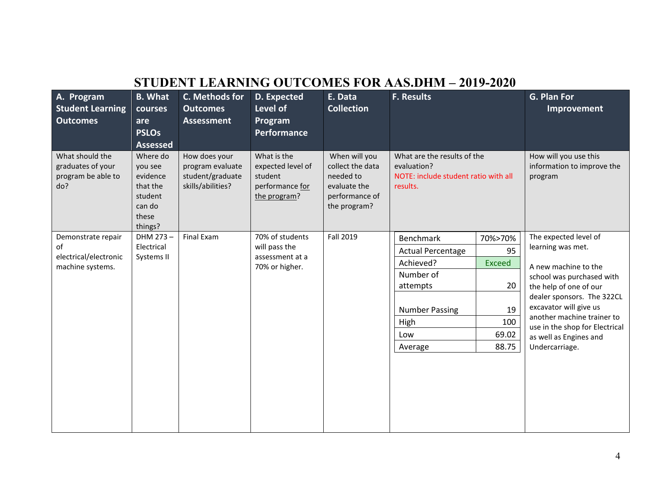| STUDENT LEARNING OUTCOMES FOR AAS.DHM – 2019-2020                     |                                                                                      |                                                                            |                                                                                |                                                                                                  |                                                                                                                                       |                                                                     |                                                                                                                                                                                                                                                                                               |  |  |
|-----------------------------------------------------------------------|--------------------------------------------------------------------------------------|----------------------------------------------------------------------------|--------------------------------------------------------------------------------|--------------------------------------------------------------------------------------------------|---------------------------------------------------------------------------------------------------------------------------------------|---------------------------------------------------------------------|-----------------------------------------------------------------------------------------------------------------------------------------------------------------------------------------------------------------------------------------------------------------------------------------------|--|--|
| A. Program<br><b>Student Learning</b><br><b>Outcomes</b>              | <b>B.</b> What<br>courses<br>are<br><b>PSLOs</b><br><b>Assessed</b>                  | C. Methods for<br><b>Outcomes</b><br><b>Assessment</b>                     | D. Expected<br>Level of<br>Program<br><b>Performance</b>                       | E. Data<br>Collection                                                                            | <b>F. Results</b>                                                                                                                     |                                                                     | G. Plan For<br>Improvement                                                                                                                                                                                                                                                                    |  |  |
| What should the<br>graduates of your<br>program be able to<br>do?     | Where do<br>you see<br>evidence<br>that the<br>student<br>can do<br>these<br>things? | How does your<br>program evaluate<br>student/graduate<br>skills/abilities? | What is the<br>expected level of<br>student<br>performance for<br>the program? | When will you<br>collect the data<br>needed to<br>evaluate the<br>performance of<br>the program? | What are the results of the<br>evaluation?<br>NOTE: include student ratio with all<br>results.                                        |                                                                     | How will you use this<br>information to improve the<br>program                                                                                                                                                                                                                                |  |  |
| Demonstrate repair<br>of<br>electrical/electronic<br>machine systems. | DHM 273-<br>Electrical<br>Systems II                                                 | Final Exam                                                                 | 70% of students<br>will pass the<br>assessment at a<br>70% or higher.          | Fall 2019                                                                                        | <b>Benchmark</b><br><b>Actual Percentage</b><br>Achieved?<br>Number of<br>attempts<br><b>Number Passing</b><br>High<br>Low<br>Average | 70%>70%<br>95<br><b>Exceed</b><br>20<br>19<br>100<br>69.02<br>88.75 | The expected level of<br>learning was met.<br>A new machine to the<br>school was purchased with<br>the help of one of our<br>dealer sponsors. The 322CL<br>excavator will give us<br>another machine trainer to<br>use in the shop for Electrical<br>as well as Engines and<br>Undercarriage. |  |  |

## **STUDENT LEARNING OUTCOMES FOR AAS.DHM – 2019-2020**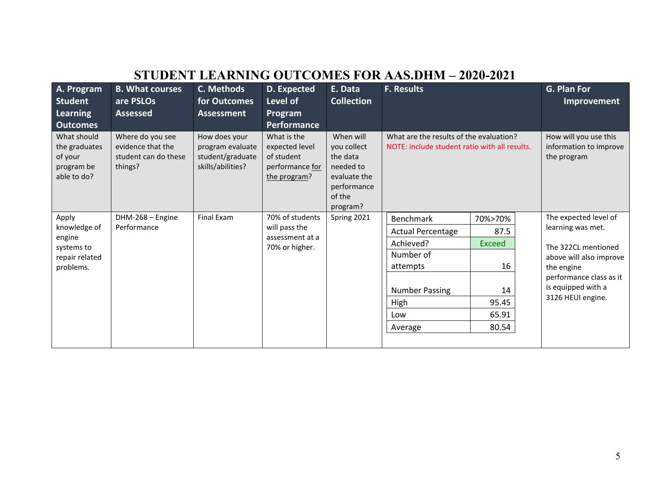|                                                                      | STUDENT LEARNING OUTCOMES FOR AAS.DHM – 2020-2021                        |                                                                            |                                                                                |                                                                                                        |                                                                                          |               |  |                                                                    |  |  |
|----------------------------------------------------------------------|--------------------------------------------------------------------------|----------------------------------------------------------------------------|--------------------------------------------------------------------------------|--------------------------------------------------------------------------------------------------------|------------------------------------------------------------------------------------------|---------------|--|--------------------------------------------------------------------|--|--|
| A. Program                                                           | <b>B. What courses</b>                                                   | C. Methods                                                                 | D. Expected                                                                    | E. Data                                                                                                | <b>F. Results</b>                                                                        |               |  | G. Plan For                                                        |  |  |
| Student                                                              | are PSLOs                                                                | for Outcomes                                                               | Level of                                                                       | <b>Collection</b>                                                                                      |                                                                                          |               |  | Improvement                                                        |  |  |
| Learning                                                             | <b>Assessed</b>                                                          | <b>Assessment</b>                                                          | Program                                                                        |                                                                                                        |                                                                                          |               |  |                                                                    |  |  |
| <b>Outcomes</b>                                                      |                                                                          |                                                                            | Performance                                                                    |                                                                                                        |                                                                                          |               |  |                                                                    |  |  |
| What should<br>the graduates<br>of your<br>program be<br>able to do? | Where do you see<br>evidence that the<br>student can do these<br>things? | How does your<br>program evaluate<br>student/graduate<br>skills/abilities? | What is the<br>expected level<br>of student<br>performance for<br>the program? | When will<br>you collect<br>the data<br>needed to<br>evaluate the<br>performance<br>of the<br>program? | What are the results of the evaluation?<br>NOTE: include student ratio with all results. |               |  | How will you use this<br>information to improve<br>the program     |  |  |
| Apply                                                                | DHM-268 - Engine                                                         | <b>Final Exam</b>                                                          | 70% of students                                                                | Spring 2021                                                                                            | <b>Benchmark</b>                                                                         | 70%>70%       |  | The expected level of                                              |  |  |
| knowledge of                                                         | Performance                                                              |                                                                            | will pass the                                                                  |                                                                                                        | <b>Actual Percentage</b>                                                                 | 87.5          |  | learning was met.                                                  |  |  |
| engine<br>systems to                                                 |                                                                          |                                                                            | assessment at a<br>70% or higher.                                              |                                                                                                        | Achieved?                                                                                | <b>Exceed</b> |  | The 322CL mentioned                                                |  |  |
| repair related                                                       |                                                                          |                                                                            |                                                                                |                                                                                                        | Number of                                                                                |               |  | above will also improve                                            |  |  |
| problems.                                                            |                                                                          |                                                                            |                                                                                |                                                                                                        | attempts                                                                                 | 16            |  | the engine                                                         |  |  |
|                                                                      |                                                                          |                                                                            |                                                                                |                                                                                                        | <b>Number Passing</b><br>High                                                            | 14<br>95.45   |  | performance class as it<br>is equipped with a<br>3126 HEUI engine. |  |  |
|                                                                      |                                                                          |                                                                            |                                                                                |                                                                                                        |                                                                                          |               |  |                                                                    |  |  |
|                                                                      |                                                                          |                                                                            |                                                                                |                                                                                                        | Low                                                                                      | 65.91         |  |                                                                    |  |  |
|                                                                      |                                                                          |                                                                            |                                                                                |                                                                                                        | Average                                                                                  | 80.54         |  |                                                                    |  |  |
|                                                                      |                                                                          |                                                                            |                                                                                |                                                                                                        |                                                                                          |               |  |                                                                    |  |  |

# **STUDENT LEARNING OUTCOMES FOR AAS.DHM – 2020-2021**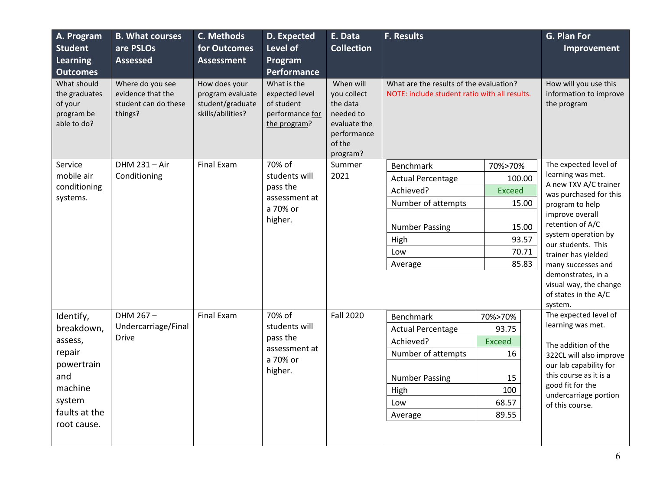| A. Program<br><b>Student</b><br><b>Learning</b><br><b>Outcomes</b>   | <b>B. What courses</b><br>are PSLOs<br><b>Assessed</b>                   | C. Methods<br>for Outcomes<br><b>Assessment</b>                            | D. Expected<br>Level of<br>Program<br>Performance                              | E. Data<br><b>Collection</b>                                                                           | <b>F. Results</b>                                                                        |               | G. Plan For<br>Improvement |                                                                                                                            |
|----------------------------------------------------------------------|--------------------------------------------------------------------------|----------------------------------------------------------------------------|--------------------------------------------------------------------------------|--------------------------------------------------------------------------------------------------------|------------------------------------------------------------------------------------------|---------------|----------------------------|----------------------------------------------------------------------------------------------------------------------------|
| What should<br>the graduates<br>of your<br>program be<br>able to do? | Where do you see<br>evidence that the<br>student can do these<br>things? | How does your<br>program evaluate<br>student/graduate<br>skills/abilities? | What is the<br>expected level<br>of student<br>performance for<br>the program? | When will<br>you collect<br>the data<br>needed to<br>evaluate the<br>performance<br>of the<br>program? | What are the results of the evaluation?<br>NOTE: include student ratio with all results. |               |                            | How will you use this<br>information to improve<br>the program                                                             |
| Service                                                              | DHM 231 - Air                                                            | <b>Final Exam</b>                                                          | 70% of                                                                         | Summer                                                                                                 | Benchmark                                                                                | 70%>70%       |                            | The expected level of                                                                                                      |
| mobile air                                                           | Conditioning                                                             |                                                                            | students will                                                                  | 2021                                                                                                   | <b>Actual Percentage</b>                                                                 | 100.00        |                            | learning was met.<br>A new TXV A/C trainer                                                                                 |
| conditioning<br>systems.                                             |                                                                          |                                                                            | pass the<br>assessment at                                                      |                                                                                                        | Achieved?                                                                                | <b>Exceed</b> |                            | was purchased for this                                                                                                     |
|                                                                      |                                                                          |                                                                            | a 70% or<br>higher.                                                            |                                                                                                        | Number of attempts                                                                       |               | 15.00                      | program to help<br>improve overall<br>retention of A/C<br>system operation by<br>our students. This<br>trainer has yielded |
|                                                                      |                                                                          |                                                                            |                                                                                |                                                                                                        | <b>Number Passing</b>                                                                    |               | 15.00                      |                                                                                                                            |
|                                                                      |                                                                          |                                                                            |                                                                                |                                                                                                        | High                                                                                     |               | 93.57                      |                                                                                                                            |
|                                                                      |                                                                          |                                                                            |                                                                                |                                                                                                        | Low                                                                                      |               | 70.71                      |                                                                                                                            |
|                                                                      |                                                                          |                                                                            |                                                                                |                                                                                                        | Average                                                                                  |               | 85.83                      | many successes and                                                                                                         |
|                                                                      |                                                                          |                                                                            |                                                                                |                                                                                                        |                                                                                          |               |                            | demonstrates, in a<br>visual way, the change<br>of states in the A/C<br>system.                                            |
| Identify,                                                            | DHM 267-                                                                 | <b>Final Exam</b>                                                          | 70% of                                                                         | <b>Fall 2020</b>                                                                                       | <b>Benchmark</b>                                                                         | 70%>70%       |                            | The expected level of                                                                                                      |
| breakdown,                                                           | Undercarriage/Final                                                      |                                                                            |                                                                                | students will                                                                                          | <b>Actual Percentage</b>                                                                 | 93.75         |                            | learning was met.                                                                                                          |
| assess,                                                              | <b>Drive</b>                                                             | pass the<br>assessment at                                                  |                                                                                | Achieved?                                                                                              | <b>Exceed</b>                                                                            |               | The addition of the        |                                                                                                                            |
| repair                                                               |                                                                          |                                                                            | a 70% or                                                                       |                                                                                                        | Number of attempts                                                                       | 16            |                            | 322CL will also improve                                                                                                    |
| powertrain<br>and                                                    |                                                                          |                                                                            | higher.                                                                        |                                                                                                        | <b>Number Passing</b>                                                                    | 15            |                            | our lab capability for<br>this course as it is a                                                                           |
| machine                                                              |                                                                          |                                                                            |                                                                                | High                                                                                                   | 100                                                                                      |               | good fit for the           |                                                                                                                            |
| system                                                               |                                                                          |                                                                            |                                                                                |                                                                                                        | Low                                                                                      | 68.57         |                            | undercarriage portion<br>of this course.                                                                                   |
| faults at the                                                        |                                                                          |                                                                            |                                                                                |                                                                                                        | Average                                                                                  | 89.55         |                            |                                                                                                                            |
| root cause.                                                          |                                                                          |                                                                            |                                                                                |                                                                                                        |                                                                                          |               |                            |                                                                                                                            |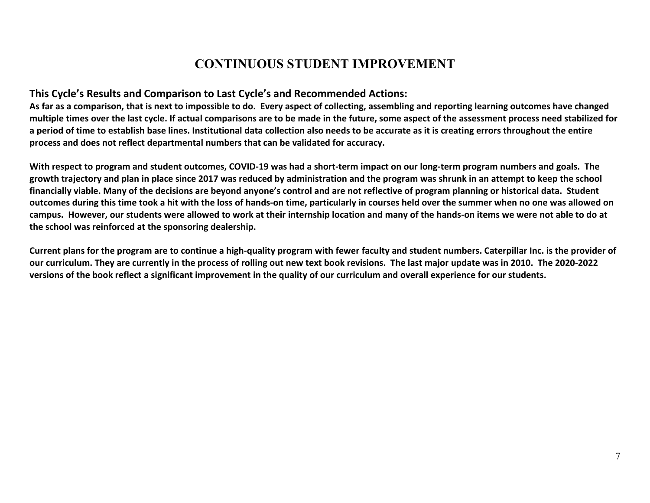## **CONTINUOUS STUDENT IMPROVEMENT**

#### **This Cycle's Results and Comparison to Last Cycle's and Recommended Actions:**

**As far as a comparison, that is next to impossible to do. Every aspect of collecting, assembling and reporting learning outcomes have changed multiple times over the last cycle. If actual comparisons are to be made in the future, some aspect of the assessment process need stabilized for a period of time to establish base lines. Institutional data collection also needs to be accurate as it is creating errors throughout the entire process and does not reflect departmental numbers that can be validated for accuracy.**

**With respect to program and student outcomes, COVID-19 was had a short-term impact on our long-term program numbers and goals. The growth trajectory and plan in place since 2017 was reduced by administration and the program was shrunk in an attempt to keep the school financially viable. Many of the decisions are beyond anyone's control and are not reflective of program planning or historical data. Student outcomes during this time took a hit with the loss of hands-on time, particularly in courses held over the summer when no one was allowed on campus. However, our students were allowed to work at their internship location and many of the hands-on items we were not able to do at the school was reinforced at the sponsoring dealership.** 

**Current plans for the program are to continue a high-quality program with fewer faculty and student numbers. Caterpillar Inc. is the provider of our curriculum. They are currently in the process of rolling out new text book revisions. The last major update was in 2010. The 2020-2022 versions of the book reflect a significant improvement in the quality of our curriculum and overall experience for our students.**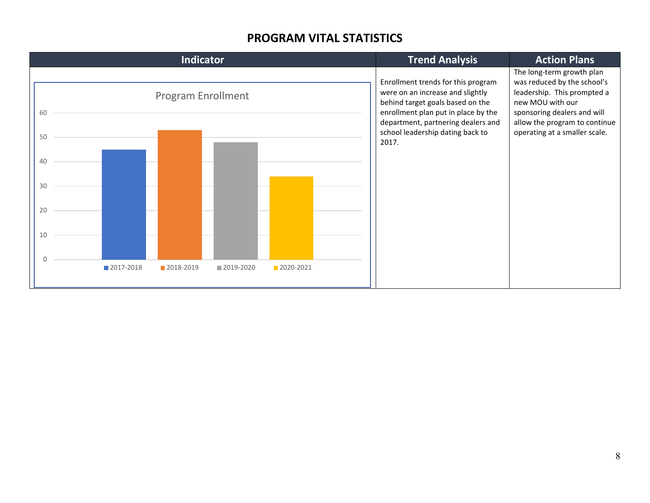#### **PROGRAM VITAL STATISTICS**

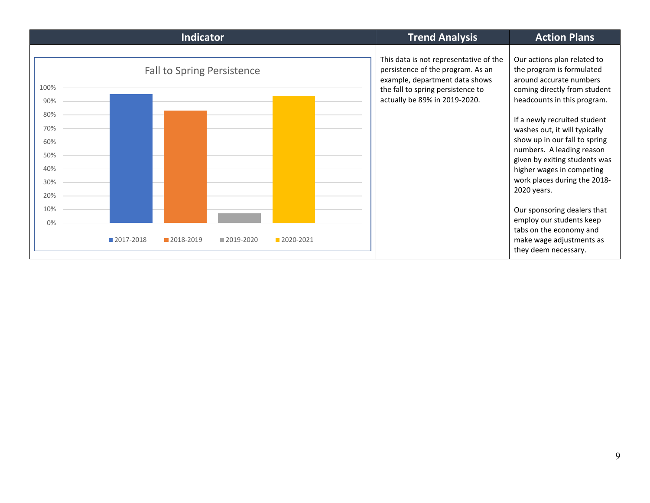|                                                              |           | <b>Indicator</b>                  |           |           | <b>Trend Analysis</b>                                                                                                                                                               | <b>Action Plans</b>                                                                                                                                                                                                                                                                                                                                                                            |
|--------------------------------------------------------------|-----------|-----------------------------------|-----------|-----------|-------------------------------------------------------------------------------------------------------------------------------------------------------------------------------------|------------------------------------------------------------------------------------------------------------------------------------------------------------------------------------------------------------------------------------------------------------------------------------------------------------------------------------------------------------------------------------------------|
| 100%<br>90%<br>80%<br>70%<br>60%<br>50%<br>40%<br>30%<br>20% |           | <b>Fall to Spring Persistence</b> |           |           | This data is not representative of the<br>persistence of the program. As an<br>example, department data shows<br>the fall to spring persistence to<br>actually be 89% in 2019-2020. | Our actions plan related to<br>the program is formulated<br>around accurate numbers<br>coming directly from student<br>headcounts in this program.<br>If a newly recruited student<br>washes out, it will typically<br>show up in our fall to spring<br>numbers. A leading reason<br>given by exiting students was<br>higher wages in competing<br>work places during the 2018-<br>2020 years. |
| 10%<br>$0\%$                                                 |           |                                   |           |           |                                                                                                                                                                                     | Our sponsoring dealers that<br>employ our students keep                                                                                                                                                                                                                                                                                                                                        |
|                                                              | 2017-2018 | 2018-2019                         | 2019-2020 | 2020-2021 |                                                                                                                                                                                     | tabs on the economy and<br>make wage adjustments as<br>they deem necessary.                                                                                                                                                                                                                                                                                                                    |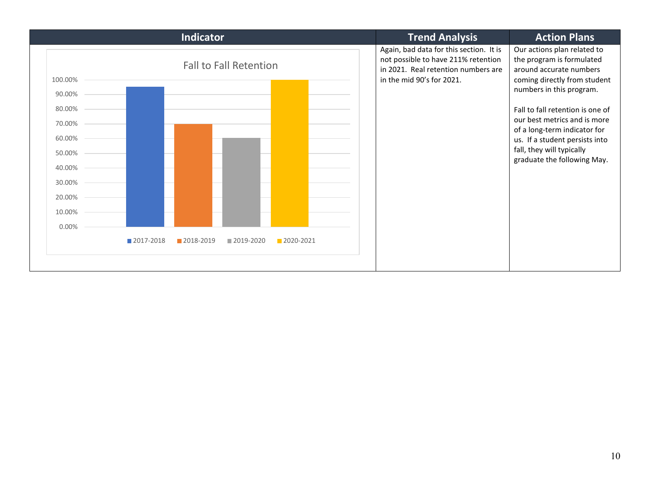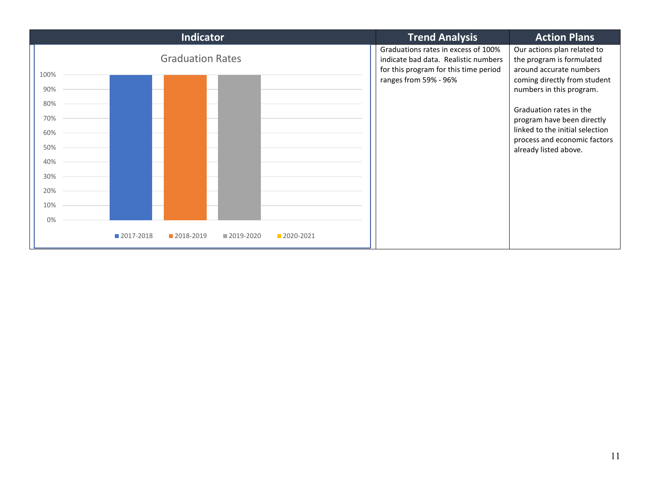